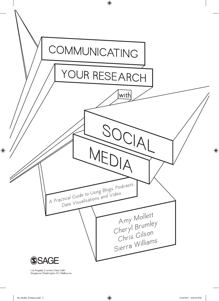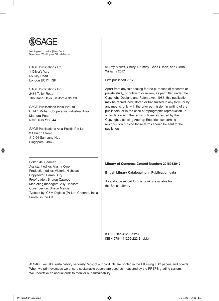

Los Angeles | London | New Delhi Singapore | Washington DC | Melbourne

SAGE Publications Ltd 1 Oliver's Yard 55 City Road London EC1Y 1SP

SAGE Publications Inc. 2455 Teller Road Thousand Oaks, California 91320

SAGE Publications India Pvt Ltd B 1/I 1 Mohan Cooperative Industrial Area Mathura Road New Delhi 110 044

SAGE Publications Asia-Pacific Pte Ltd 3 Church Street #10-04 Samsung Hub Singapore 049483

 Amy Mollett, Cheryl Brumley, Chris Gilson, and Sierra Williams 2017

First published 2017

 $\bigoplus$ 

Apart from any fair dealing for the purposes of research or private study, or criticism or review, as permitted under the Copyright, Designs and Patents Act, 1988, this publication may be reproduced, stored or transmitted in any form, or by any means, only with the prior permission in writing of the publishers, or in the case of reprographic reproduction, in accordance with the terms of licences issued by the Copyright Licensing Agency. Enquiries concerning reproduction outside those terms should be sent to the publishers.

Editor: Jai Seaman Assistant editor: Alysha Owen Production editor: Victoria Nicholas Copyeditor: Sarah Bury Proofreader: Sharon Cawood Marketing manager: Sally Ransom Cover design: Shaun Mercier Typeset by: C&M Digitals (P) Ltd, Chennai, India Printed in the UK

#### **Library of Congress Control Number: 2016953042**

**British Library Cataloguing in Publication data**

A catalogue record for this book is available from the British Library

ISBN 978-1-41296-221-6 ISBN 978-1-41296-222-3 (pbk)

At SAGE we take sustainability seriously. Most of our products are printed in the UK using FSC papers and boards. When we print overseas we ensure sustainable papers are used as measured by the PREPS grading system. We undertake an annual audit to monitor our sustainability.

⊕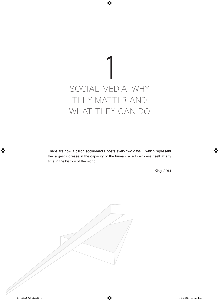# 1 SOCIAL MEDIA: WHY THEY MATTER AND WHAT THEY CAN DO

 $\bigoplus$ 

There are now a billion social-media posts every two days … which represent the largest increase in the capacity of the human race to express itself at any time in the history of the world.

– King, 2014



 $\bigoplus$ 

 $\bigoplus$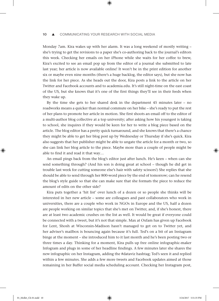⊕

Monday 7am. Kira wakes up with her alarm. It was a long weekend of mostly writing – she's trying to get the revisions to a paper she's co-authoring back to the journal's editors this week. Checking her emails on her iPhone while she waits for her coffee to brew, Kira's excited to see an email pop up from the editor of a journal she submitted to late last year; her article is now available online! It won't be in the print edition for another six or maybe even nine months (there's a huge backlog, the editor says), but she now has the link for her piece. As she heads out the door, Kira posts a link to the article on her Twitter and Facebook accounts and to academia.edu. It's still night-time on the east coast of the US, but she knows that it's one of the first things they'll see in their feeds when they wake up.

By the time she gets to her shared desk in the department 45 minutes later – no roadworks means a quicker than normal commute on her bike – she's ready to put the rest of her plans to promote her article in motion. She first shoots an email off to the editor of a multi-author blog collective at a top university; after asking how his youngest is taking to school, she inquires if they would be keen for her to write a blog piece based on the article. The blog editor has a pretty quick turnaround, and she knows that there's a chance they might be able to get her blog post up by Wednesday or Thursday if she's quick. Kira also suggests that her publisher might be able to ungate the article for a month or two, so she can link her blog article to the piece. Maybe more than a couple of people might be able to find it and read it that way…

An email pings back from the blog's editor just after lunch. He's keen – when can she send something through? (And his son is doing great at school – though he did get in trouble last week for cutting someone else's hair with safety scissors!) She replies that she should be able to send through her 800-word piece by the end of tomorrow; can he resend the blog's style guide so that she can make sure that she formats the piece to reduce the amount of edits on the other side?

Kira puts together a 'hit list' over lunch of a dozen or so people she thinks will be interested in her new article – some are colleagues and past collaborators who work in universities, there are a couple who work in NGOs in Europe and the US, half a dozen are people working on similar topics that she's met on Twitter, and, if she's honest, there are at least two academic crushes on the list as well. It would be great if everyone could be connected with a tweet, but it's not that simple. Max at Oxfam has given up Facebook for Lent, Shosh at Wisconsin-Madison hasn't managed to get on to Twitter yet, and her adviser's mailbox is bouncing again because it's full. Ted's on a bit of an Instagram binge at the moment – she introduced him to it last month and he's been posting two or three times a day. Thinking for a moment, Kira pulls up free online infographic-maker Infogram and plugs in some of her headline findings. A few minutes later she shares the new infographic on her Instagram, adding the #dataviz hashtag; Ted's seen it and replied within a few minutes. She adds a few more tweets and Facebook updates aimed at those remaining in her Buffer social media scheduling account. Checking her Instagram post,

♠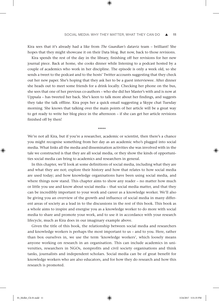Kira sees that it's already had a like from *The Guardian's* dataviz team – brilliant! She hopes that they might showcase it on their Data blog. But now, back to those revisions.

⊕

Kira spends the rest of the day in the library, finishing off her revisions for her new journal piece. Back at home, she cooks dinner while listening to a podcast hosted by a couple of academics who work in her discipline. The episode is only a week old, so she sends a tweet to the podcast and to the hosts' Twitter accounts suggesting that they check out her new paper. She's hoping that they ask her to be a guest interviewee. After dinner she heads out to meet some friends for a drink locally. Checking her phone on the bus, she sees that one of her previous co-authors – who she did her Master's with and is now at Uppsala – has tweeted her back. She's keen to talk more about her findings, and suggests they take the talk offline. Kira pops her a quick email suggesting a Skype chat Tuesday morning. She knows that talking over the main points of her article will be a great way to get ready to write her blog piece in the afternoon – if she can get her article revisions finished off by then!

\*\*\*\*\*

We're not all Kira, but if you're a researcher, academic or scientist, then there's a chance you might recognise something from her day as an academic who's plugged into social media. What links all the media and dissemination activities she was involved with in the tale we constructed is that they are all social media, or they show the kinds of opportunities social media can bring to academics and researchers in general.

In this chapter, we'll look at some definitions of social media, including what they are and what they are not; explore their history and how that relates to how social media are used today; and how knowledge organisations have been using social media, and where things now stand. This chapter aims to show any reader – no matter how much or little you use and know about social media – that social media matter, and that they can be incredibly important to your work and career as a knowledge worker. We'll also be giving you an overview of the growth and influence of social media in many different areas of society as a lead in to the discussions in the rest of this book. This book as a whole aims to inspire and energise you as a knowledge worker to do more with social media to share and promote your work, and to use it in accordance with your research lifecycle, much as Kira does in our imaginary example above.

Given the title of this book, the relationship between social media and researchers and knowledge workers is perhaps the most important to us – and to you. Here, rather than box ourselves in, we use the term 'knowledge workers', which loosely means anyone working on research in an organisation. This can include academics in universities, researchers in NGOs, nonprofits and civil society organisations and think tanks, journalists and independent scholars. Social media can be of great benefit for knowledge workers who are also educators, and for how they do research and how this research is promoted.

♠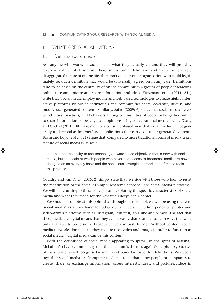$\bigoplus$ 

## 11 WHAT ARE SOCIAL MEDIA?

## 1.1.1 Defining social media

Ask anyone who works in social media what they actually are and they will probably give you a different definition. There isn't a formal definition, and given the relatively disaggregated nature of online life, there isn't one person or organisation who could legitimately set out a definition that would be universally agreed on in any case. Definitions tend to be based on the centrality of online communities – groups of people interacting online to communicate and share information and ideas. Kietzmann et al. (2011: 241) write that 'Social media employ mobile and web-based technologies to create highly interactive platforms via which individuals and communities share, co-create, discuss, and modify user-generated content'. Similarly, Safko (2009: 6) states that social media 'refers to activities, practices, and behaviors among communities of people who gather online to share information, knowledge, and opinions using conversational media', while Xiang and Gretzel (2010: 180) take more of a consumer-based view that social media 'can be generally understood as Internet-based applications that carry consumer-generated content'. Baym and boyd (2012: 321) argue that, compared to more traditional forms of media, a key feature of social media is its scale:

It is thus not the ability to use technology toward these objectives that is new with social media, but the scale at which people who never had access to broadcast media are now doing so on an everyday basis and the conscious strategic appropriation of media tools in this process.

Couldry and van Dijck (2015: 2) simply state that 'we side with those who look to resist the redefinition of the social as simply whatever happens "on" social media platforms'. We will be returning to these concepts and exploring the specific characteristics of social media and what they mean for the Research Lifecycle in Chapter 2.

We should also note at this point that throughout this book we will be using the term 'social media' as a shorthand for other digital media, including podcasts, photo- and video-driven platforms such as Instagram, Pinterest, YouTube and Vimeo. The fact that these media are digital means that they can be easily shared and at scale in ways that were only available to professional broadcast media in past decades. Without content, social media networks don't exist – they require text, video and images in order to function as social media – digital media can be this content.

With the definitions of social media appearing to sprawl, in the spirit of Marshall McLuhan's (1994) commentary that the 'medium is the message', it's helpful to go to two of the internet's well recognised – and crowdsourced – spaces for definitions. Wikipedia says that social media are 'computer-mediated tools that allow people or companies to create, share, or exchange information, career interests, ideas, and pictures/videos in

01\_Mollet\_Ch-01.indd 12 3/24/2017 5:51:35 PM

♠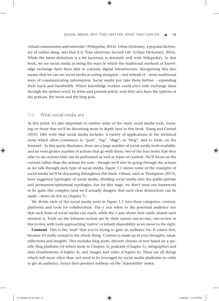virtual communities and networks' (Wikipedia, 2016). *Urban Dictionary*, a popular dictionary of online slang, says that it is 'Your electronic Second Life' (Urban Dictionary, 2016). While the latter definition is a bit facetious, it dovetails well with Wikipedia's. In this book, we see social media as being the ways in which the traditional methods of knowledge exchange have been able to colonise digital infrastructure. Recognising this also means that we can see social media as acting alongside – not instead of – more traditional ways of communicating information. Social media just take them further – expanding their reach and bandwidth. Where knowledge workers could once only exchange ideas through the spoken word, by letter and printed article, now they also have the options of the podcast, the tweet and the blog post.

# 112. What social media are

At this point, it's also important to outline some of the main social media tools, focusing on those that we'll be discussing more in depth later in this book. Xiang and Gretzel (2010: 180) write that social media includes 'a variety of applications in the technical sense which allow consumers to "post", "tag", "digg", or "blog", and so forth, on the Internet'. As this quote illustrates, there are a large number of social media tools available, and an even greater number of actions that go with them; two of the four terms that they refer to are actions that can be performed as well as types of content. We'll focus on the content rather than the actions for now – though we'll also be going through the actions as we talk through each type of social media. Figure 1.1 shows some of the examples of social media we'll be discussing throughout this book. Others, such as Thompson (2013), have suggested typologies of social media, dividing social media into the public/private and permanent/ephemeral typologies, but for this stage, we don't need our framework to be quite this complex (and we'd actually disagree that such clear distinctions can be made – more on this in Chapter 7).

We divide each of the social media tools in Figure 1.1 into three categories: content, platforms and tools for collaboration. The  $y$  axis refers to the potential audience size that each form of social media can reach, while the *x* axis shows how easily shared each element is. Tools on the leftmost section are by their nature one-to-one, one-to-few or few-to-few, with tools approaching 'native' or inbuilt shareability as we move to the right.

**Content**. This is the 'stuff' that you're trying to gain an audience for. It comes first, because it's really central to the whole thing. Content is made up of your thoughts, ideas, reflections and insights. This includes blog posts, discrete chunks of text based on a specific blog platform (of which more in Chapter 3), podcasts (Chapter 5), infographics and data visualisations (Chapter 4), and images and video (Chapter 6). These are all things which will more often than not need to be leveraged by social media platforms in order to get an audience, hence their position midway on the 'shareability' index.

♠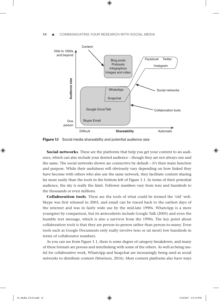$\bigoplus$ 



**Figure 1.1** Social media shareability and potential audience size

**Social networks**. These are the platforms that help you get your content to an audience, which can also include your desired audience – though they are not always one and the same. The social networks shown are connective by default – it's their main function and purpose. While their usefulness will obviously vary depending on how linked they have become with others who also use the same network, they facilitate content sharing far more easily than the tools in the bottom left of Figure 1.1. In terms of their potential audience, the sky is really the limit. Follower numbers vary from tens and hundreds to the thousands or even millions.

**Collaboration tools**. These are the tools of what could be termed the 'old' web. Skype was first released in 2003, and email can be traced back to the earliest days of the internet and was in fairly wide use by the mid-late 1990s. WhatsApp is a mere youngster by comparison, but its antecedents include Google Talk (2005) and even the humble text message, which is also a survivor from the 1990s. The key point about collaboration tools is that they are person-to-person rather than person-to-many. Even tools such as Google Documents only really involve tens or (at most) low hundreds in terms of collaborator numbers.

As you can see from Figure 1.1, there is some degree of category breakdown, and many of these formats are porous and interlinking with some of the others. As well as being useful for collaborative work, WhatsApp and Snapchat are increasingly being used as social networks to distribute content (Morrison, 2016). Most content platforms also have ways

⊕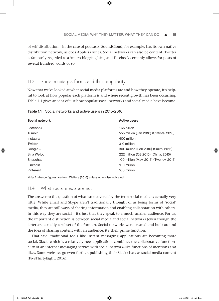of self-distribution – in the case of podcasts, SoundCloud, for example, has its own native distribution network, as does Apple's iTunes. Social networks can also be content. Twitter is famously regarded as a 'micro-blogging' site, and Facebook certainly allows for posts of several hundred words or so.

# 1.1.3 Social media platforms and their popularity

Now that we've looked at what social media platforms are and how they operate, it's helpful to look at how popular each platform is and where recent growth has been occurring. Table 1.1 gives an idea of just how popular social networks and social media have become.

| Social network | <b>Active users</b>                     |
|----------------|-----------------------------------------|
| Facebook       | 1.65 billion                            |
| Tumblr         | 555 million (Jan 2016) (Statista, 2016) |
| Instagram      | 400 million                             |
| Twitter        | 310 million                             |
| $Google +$     | 300 million (Feb 2016) (Smith, 2016)    |
| Sina Weibo     | 222 million (Q3 2015) (China, 2015)     |
| Snapchat       | 100 million (May, 2015) (Tweney, 2015)  |
| LinkedIn       | 100 million                             |
| Pinterest      | 100 million                             |

Table 1.1 Social networks and active users in 2015/2016

*Note*: Audience figures are from Walters (2016) unless otherwise indicated

# 114 What social media are not

The answer to the question of what isn't covered by the term social media is actually very little. While email and Skype aren't traditionally thought of as being forms of 'social' media, they are still ways of sharing information and enabling collaboration with others. In this way they are social – it's just that they speak to a much smaller audience. For us, the important distinction is between social media and social networks (even though the latter are actually a subset of the former). Social networks were created and built around the idea of sharing content with an audience; it's their prime function.

That said, traditional tools like instant messaging applications are becoming more social. Slack, which is a relatively new application, combines the collaborative functionality of an internet messaging service with social network-like functions of mentions and likes. Some websites go even further, publishing their Slack chats as social media content (FiveThirtyEight, 2016).

♠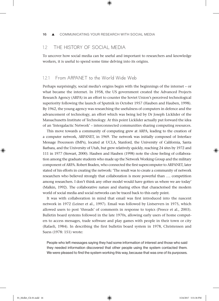$\bigoplus$ 

## 12 THE HISTORY OF SOCIAL MEDIA

To uncover how social media can be useful and important to researchers and knowledge workers, it is useful to spend some time delving into its origins.

## 121 From ARPANET to the World Wide Web

Perhaps surprisingly, social media's origins begin with the beginnings of the internet – or what became the internet. In 1958, the US government created the Advanced Projects Research Agency (ARPA) in an effort to counter the Soviet Union's perceived technological superiority following the launch of Sputnik in October 1957 (Hauben and Hauben, 1998). By 1962, the young agency was researching the usefulness of computers in defence and the advancement of technology, an effort which was being led by Dr Joseph Licklider of the Massachusetts Institute of Technology. At this point Licklider actually put forward the idea of an 'Intergalactic Network' – interconnected communities sharing computing resources.

This move towards a community of computing grew at ARPA, leading to the creation of a computer network, ARPANET, in 1969. The network was initially composed of Interface Message Processors (IMPs), located at UCLA, Stanford, the University of California, Santa Barbara, and the University of Utah, but grew relatively quickly, reaching 24 sites by 1972 and 111 in 1977 (Stewart, 2000). Hauben and Hauben (1998) note the close feeling of collaboration among the graduate students who made up the Network Working Group and the military component of ARPA. Robert Braden, who connected the first supercomputer to ARPANET, later stated of his efforts in creating the network: 'The result was to create a community of network researchers who believed strongly that collaboration is more powerful than …. competition among researchers. I don't think any other model would have gotten us where we are today' (Malkin, 1992). The collaborative nature and sharing ethos that characterised the modern world of social media and social networks can be traced back to this early point.

It was with collaboration in mind that email was first introduced into the nascent network in 1972 (Leiner et al., 1997). Email was followed by Listservers in 1975, which allowed users to post 'threads' of comments in response to topics (Preece et al., 2003). Bulletin board systems followed in the late 1970s, allowing early users of home computers to access messages, trade software and play games with people in their town or city (Rafaeli, 1984). In describing the first bulletin board system in 1978, Christensen and Suess (1978: 151) wrote:

People who left messages saying they had some information of interest and those who said they needed information discovered that other people using the system contacted them. We were pleased to find the system working this way, because that was one of its purposes.

♠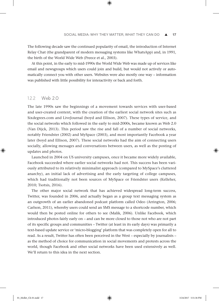The following decade saw the continued popularity of email, the introduction of Internet Relay Chat (the grandparent of modern messaging systems like WhatsApp) and, in 1991, the birth of the World Wide Web (Preece et al., 2003).

At this point, in the early to mid-1990s the World Wide Web was made up of services like email and newsgroups which users could join and build, but would not actively or automatically connect you with other users. Websites were also mostly one way – information was published with little possibility for interactivity or back and forth.

## $122$  Web 20

♠

The late 1990s saw the beginnings of a movement towards services with user-based and user-created content, with the creation of the earliest social network sites such as Sixdegrees.com and LiveJournal (boyd and Ellison, 2007). These types of service, and the social networks which followed in the early to mid-2000s, became known as Web 2.0 (Van Dijck, 2013). This period saw the rise and fall of a number of social networks, notably Friendster (2002) and MySpace (2003), and most importantly Facebook a year later (boyd and Ellison, 2007). These social networks had the aim of connecting users socially, allowing messages and conversations between users, as well as the posting of updates and photos.

Launched in 2004 on US university campuses, once it became more widely available, Facebook succeeded where earlier social networks had not. This success has been variously attributed to its relatively minimalist approach (compared to MySpace's cluttered anarchy), an initial lack of advertising and the early targeting of college campuses, which had traditionally not been sources of MySpace or Friendster users (Kelleher, 2010; Tsotsis, 2016).

The other major social network that has achieved widespread long-term success, Twitter, was founded in 2006, and actually began as a group text messaging system as an outgrowth of an earlier abandoned podcast platform called Odeo (Arrington, 2006; Carlson, 2011), whereby users could send an SMS message to a shortcode number, which would then be posted online for others to see (Malik, 2006). Unlike Facebook, which introduced photos fairly early on – and can be more closed to those not who are not part of its specific groups and communities – Twitter (at least in its early days) was primarily a text-based update service or 'micro-blogging' platform that was completely open for all to read. As a result, Twitter has often been perceived in the West – especially by journalists – as the method of choice for communication in social movements and protests across the world, though Facebook and other social networks have been used extensively as well. We'll return to this idea in the next section.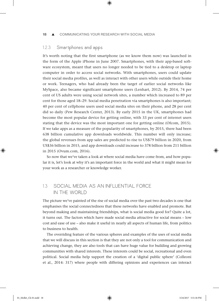$\bigoplus$ 

# 1.2.3 Smartphones and apps

It's worth noting that the first smartphone (as we know them now) was launched in the form of the Apple iPhone in June 2007. Smartphones, with their app-based software ecosystem, meant that users no longer needed to be tied to a desktop or laptop computer in order to access social networks. With smartphones, users could update their social media profiles, as well as interact with other users while outside their home or work. Teenagers, who had already been the target of earlier social networks like MySpace, also became significant smartphone users (Lenhart, 2012). By 2014, 74 per cent of US adults were using social network sites, a number which increased to 89 per cent for those aged 18–29. Social media penetration via smartphones is also important; 40 per cent of cellphone users used social media sites on their phone, and 28 per cent did so daily (Pew Research Center, 2013). By early 2015 in the UK, smartphones had become the most popular device for getting online, with 33 per cent of internet users stating that the device was the most important one for getting online (Ofcom, 2015). If we take apps as a measure of the popularity of smartphones, by 2015, there had been 638 billion cumulative app downloads worldwide. This number will only increase; the global revenues from app sales are predicted to rise to US\$79 billion in 2020, from US\$36 billion in 2015, and app downloads could increase to 378 billion from 211 billion in 2015 (Ovum.com, 2016).

So now that we've taken a look at where social media have come from, and how popular it is, let's look at why it's an important force in the world and what it might mean for your work as a researcher or knowledge worker.

# 1.3 SOCIAL MEDIA AS AN INFLUENTIAL FORCE IN THE WORLD

The picture we've painted of the rise of social media over the past two decades is one that emphasises the social connectedness that these networks have enabled and promote. But beyond making and maintaining friendships, what is social media good for? Quite a lot, it turns out. The factors which have made social media attractive for social means – low cost and ease of use – also make it useful in nearly all aspects of human life, from politics to business to health.

The overriding feature of the various spheres and examples of the uses of social media that we will discuss in this section is that they are not only a tool for communication and achieving change, they are also tools that can have huge value for building and growing communities with shared interests. These interests could be social, recreational and even political. Social media help support the creation of a 'digital public sphere' (Colleoni et al., 2014: 317) where people with differing opinions and experiences can interact

♠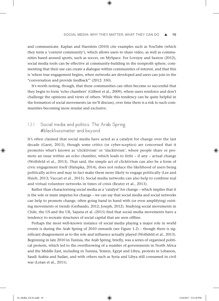and communicate. Kaplan and Haenlein (2010) cite examples such as YouTube (which they term a 'content community'), which allows users to share video, as well as communities based around sports, such as soccer, on MySpace. For Lovejoy and Saxton (2012), social media tools can be effective at community-building in the nonprofit sphere, commenting that their use can create a dialogue within communities of interest, and that this is 'where true engagement begins, when networks are developed and users can join in the "conversation and provide feedback"' (2012: 350).

It's worth noting, though, that these communities can often become so successful that they begin to form 'echo chambers' (Gilbert et al., 2009), where users reinforce and don't challenge the opinions and views of others. While this tendency can be quite helpful in the formation of social movements (as we'll discuss), over time there is a risk to such communities becoming more insular and exclusive.

# 1.3.1 Social media and politics: The Arab Spring, #blacklivesmatter and beyond

It's often claimed that social media have acted as a catalyst for change over the last decade (Garst, 2013), though some critics (or cyber-sceptics) are concerned that it promotes what's known as 'clicktivism' or 'slacktivism', where people share or promote an issue within an echo chamber, which leads to little – if any – actual change (Wolfsfeld et al., 2013). That said, the simple act of clicktivism can also be a form of civic engagement itself (Halupka, 2014), does not reduce the likelihood of users being politically active and may in fact make them more likely to engage politically (Lee and Hsieh, 2013; Vaccari et al., 2015). Social media networks can also help to combine real and virtual volunteer networks in times of crisis (Reuter et al., 2013).

Rather than characterising social media as a 'catalyst' for change – which implies that it is the sole or main impetus for change – we can say that social media and social networks can help to promote change, often going hand in hand with (or even amplifying) existing movements or trends (Gerbaudo, 2012; Joseph, 2012). Studying social movements in Chile, the US and the UK, Sajuria et al. (2015) find that social media movements have a tendency to recreate structures of social capital that are seen offline.

Perhaps the most well-known instance of social media playing a major role in world events is during the Arab Spring of 2010 onwards (see Figure 1.2) – though there is significant disagreement as to the role and influence actually played (Wolfsfeld et al., 2013). Beginning in late 2010 in Tunisia, the Arab Spring, briefly, was a series of organised political protests, which led to the overthrowing of a number of governments in North Africa and the Middle East, including in Tunisia, Yemen, Egypt and Libya, protests in Lebanon, Saudi Arabia and Sudan, and with others such as Syria and Libya still consumed in civil war (Lotan et al., 2011).

♠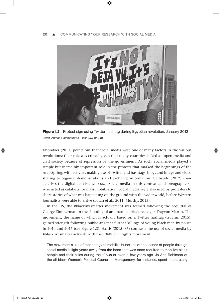$\textcircled{\scriptsize{*}}$ 



Figure 1.2 Protest sign using Twitter hashtag during Egyptian revolution, January 2012 *Credit*: Ahmad Hammoud via Flickr (CC-BY2.0)

Khondker (2011) points out that social media were one of many factors in the various revolutions; their role was critical given that many countries lacked an open media and civil society because of repression by the government. As such, social media played a simple but incredibly important role in the protests that marked the beginnings of the Arab Spring, with activists making use of Twitter and hashtags, blogs and image and video sharing to organise demonstrations and exchange information. Gerbaudo (2012) characterises the digital activists who used social media in this context as 'choreographers', who acted as catalysts for mass mobilisation. Social media were also used by protesters to share stories of what was happening on the ground with the wider world, before Western journalists were able to arrive (Lotan et al., 2011; Murthy, 2013).

In the US, the #blacklivesmatter movement was formed following the acquittal of George Zimmerman in the shooting of an unarmed black teenager, Trayvon Martin. The movement, the name of which is actually based on a Twitter hashtag (Guynn, 2015), gained strength following public anger at further killings of young black men by police in 2014 and 2015 (see Figure 1.3). Harris (2015: 35) contrasts the use of social media by #blacklivesmatter activists with the 1960s civil rights movement:

The movement's use of technology to mobilize hundreds of thousands of people through social media is light years away from the labor that was once required to mobilize black people and their allies during the 1960s or even a few years ago. Jo Ann Robinson of the all-black Women's Political Council in Montgomery, for instance, spent hours using

⊕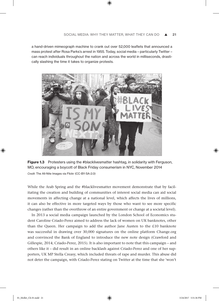a hand-driven mimeograph machine to crank out over 52,000 leaflets that announced a mass protest after Rosa Parks's arrest in 1955. Today, social media – particularly Twitter – can reach individuals throughout the nation and across the world in milliseconds, drastically slashing the time it takes to organize protests.



**Figure 1.3** Protesters using the #blacklivesmatter hashtag, in solidarity with Ferguson, MO, encouraging a boycott of Black Friday consumerism in NYC, November 2014 *Credit*: The All-Nite Images via Flickr (CC-BY-SA-2.0)

While the Arab Spring and the #blacklivesmatter movement demonstrate that by facilitating the creation and building of communities of interest social media can aid social movements in affecting change at a national level, which affects the lives of millions, it can also be effective in more targeted ways by those who want to see more specific changes (rather than the overthrow of an entire government or change at a societal level).

In 2013 a social media campaign launched by the London School of Economics student Caroline Criado-Perez aimed to address the lack of women on UK banknotes, other than the Queen. Her campaign to add the author Jane Austen to the £10 banknote was successful in drawing over 30,000 signatures on the online platform Change.org and convinced the Bank of England to introduce the new note design (Crawford and Gillespie, 2014; Criado-Perez, 2015). It is also important to note that this campaign – and others like it – did result in an online backlash against Criado-Perez and one of her supporters, UK MP Stella Creasy, which included threats of rape and murder. This abuse did not deter the campaign, with Criado-Perez stating on Twitter at the time that she 'won't

⊕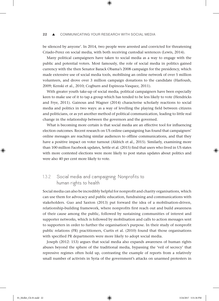⊕

be silenced by anyone'. In 2014, two people were arrested and convicted for threatening Criado-Perez on social media, with both receiving custodial sentences (Lewis, 2014).

Many political campaigners have taken to social media as a way to engage with the public and potential voters. Most famously, the role of social media in politics gained currency with the then Senator Barack Obama's 2008 campaign for the presidency, which made extensive use of social media tools, mobilising an online network of over 5 million volunteers, and drove over 3 million campaign donations to the candidate (Harfoush, 2009; Kenski et al., 2010; Cogburn and Espinoza-Vasquez, 2011).

With greater youth take-up of social media, political campaigners have been especially keen to make use of it to tap a group which has tended to be less likely to vote (Hendricks and Frye, 2011). Gainous and Wagner (2014) characterise scholarly reactions to social media and politics in two ways: as a way of levelling the playing field between citizens and politicians, or as yet another method of political communication, leading to little real change in the relationship between the governors and the governed.

What is becoming more certain is that social media are an effective tool for influencing election outcomes. Recent research on US online campaigning has found that campaigners' online messages are reaching similar audiences to offline communications, and that they have a positive impact on voter turnout (Aldrich et al., 2015). Similarly, examining more than 100 million Facebook updates, Settle et al. (2015) find that users who lived in US states with more contested elections were more likely to post status updates about politics and were also 40 per cent more likely to vote.

# 1.3.2 Social media and campaigning: Nonprofits to human rights to health

Social media can also be incredibly helpful for nonprofit and charity organisations, which can use them for advocacy and public education, fundraising and communications with stakeholders. Guo and Saxton (2013) put forward the idea of a mobilisation-driven, relationship-building framework, where nonprofits first reach out and build awareness of their cause among the public, followed by sustaining communities of interest and supporter networks, which is followed by mobilisation and calls to action messages sent to supporters in order to further the organisation's purpose. In their study of nonprofit public relations (PR) practitioners, Curtis et al. (2010) found that those organisations with specified PR departments were more likely to adopt social media.

Joseph (2012: 153) argues that social media also expands awareness of human rights abuses beyond the sphere of the traditional media, bypassing the 'veil of secrecy' that repressive regimes often hold up, contrasting the example of reports from a relatively small number of activists in Syria of the government's attacks on unarmed protesters in

♠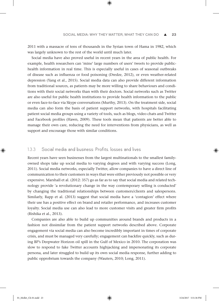$\textcircled{\scriptsize{*}}$ 

2011 with a massacre of tens of thousands in the Syrian town of Hama in 1982, which was largely unknown to the rest of the world until much later.

Social media have also proved useful in recent years in the area of public health. For example, health researchers can 'mine' large numbers of users' tweets to provide publichealth information in real time. This is especially useful in cases of seasonal outbreaks of disease such as influenza or food poisoning (Dredze, 2012), or even weather-related depression (Yang et al., 2015). Social media data can also provide different information from traditional sources, as patients may be more willing to share behaviours and conditions with their social networks than with their doctors. Social networks such as Twitter are also useful for public health institutions to provide health information to the public or even face-to-face via Skype conversations (Murthy, 2013). On the treatment side, social media can also form the basis of patient support networks, with hospitals facilitating patient social media groups using a variety of tools, such as blogs, video chats and Twitter and Facebook profiles (Hawn, 2009). These tools mean that patients are better able to manage their own care, reducing the need for interventions from physicians, as well as support and encourage those with similar conditions.

## 1.3.3 Social media and business: Profits, losses and lives

Recent years have seen businesses from the largest multinationals to the smallest familyowned shops take up social media to varying degrees and with varying success (Long, 2011). Social media networks, especially Twitter, allow companies to have a direct line of communication to their customers in ways that were either previously not possible or very expensive. Marshall et al. (2012: 357) go as far as to say that social media and related technology provide 'a revolutionary change in the way contemporary selling is conducted' by changing the traditional relationships between customers/clients and salespersons. Similarly, Rapp et al. (2013) suggest that social media have a 'contagion' effect where their use has a positive effect on brand and retailer performance, and increases customer loyalty. Social media use can also lead to more customer visits and greater firm profits (Rishika et al., 2013).

Companies are also able to build up communities around brands and products in a fashion not dissimilar from the patient support networks described above. Corporate engagement via social media can also become incredibly important in times of corporate crisis, and must be managed very carefully; engagement can backfire quickly, such as during BP's Deepwater Horizon oil spill in the Gulf of Mexico in 2010. The corporation was slow to respond to fake Twitter accounts highjacking and impersonating its corporate persona, and later struggled to build up its own social media response, further adding to public opprobrium towards the company (Wauters, 2010; Long, 2011).

♠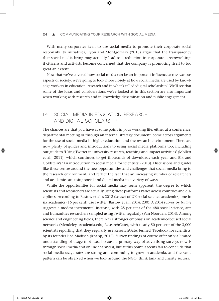⊕

With many corporates keen to use social media to promote their corporate social responsibility initiatives, Lyon and Montgomery (2013) argue that the transparency that social media bring may actually lead to a reduction in corporate 'greenwashing' if citizens and activists become concerned that the company is promoting itself to too great an extent.

Now that we've covered how social media can be an important influence across various aspects of society, we're going to look more closely at how social media are used by knowledge workers in education, research and in what's called 'digital scholarship'. We'll see that some of the ideas and considerations we've looked at in this section are also important when working with research and in knowledge dissemination and public engagement.

# 1.4 SOCIAL MEDIA IN EDUCATION, RESEARCH AND DIGITAL SCHOLARSHIP

The chances are that you have at some point in your working life, either at a conference, departmental meeting or through an internal strategy document, come across arguments for the use of social media in higher education and the research environment. There are now plenty of guides and introductions to using social media platforms too, including our guide to 'Using Twitter in university research, teaching and impact activities' (Mollett et al., 2011), which continues to get thousands of downloads each year, and Bik and Goldstein's 'An introduction to social media for scientists' (2013). Discussions and guides like these centre around the new opportunities and challenges that social media bring to the research environment, and reflect the fact that an increasing number of researchers and academics are using social and digital media in a variety of ways.

While the opportunities for social media may seem apparent, the degree to which scientists and researchers are actually using these platforms varies across countries and disciplines. According to Bastow et al.'s 2012 dataset of UK social science academics, one in six academics (16 per cent) use Twitter (Bastow et al., 2014: 230). A 2014 survey by *Nature* suggests a modest incremental increase, with 25 per cent of the 480 social science, arts and humanities researchers sampled using Twitter regularly (Van Noorden, 2014). Among science and engineering fields, there was a stronger emphasis on academic-focused social networks (Mendeley, Academia.edu, ResearchGate), with nearly 50 per cent of the 3,000 scientists reporting that they regularly use ResearchGate, termed 'Facebook for scientists' by its founder Ijad Madisch (Knapp, 2012). Survey findings of course offer only a limited understanding of usage (not least because a primary way of advertising surveys now is through social media and online channels), but at this point it seems fair to conclude that social media usage rates are strong and continuing to grow in academia, and the same pattern can be observed when we look around the NGO, think tank and charity sectors.

♠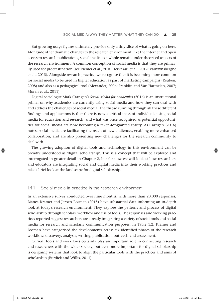#### SOCIAL MEDIA: WHY THEY MATTER, WHAT THEY CAN DO  $\triangle$  25

⊕

But growing usage figures ultimately provide only a tiny slice of what is going on here. Alongside other dramatic changes to the research environment, like the internet and open access to research publications, social media as a whole remain under-theorised aspects of the research environment. A common conception of social media is that they are primarily used for procrastination (see Riemer et al., 2010; Tervakari et al., 2012; Vanwynsberghe et al., 2015). Alongside research practice, we recognise that it is becoming more common for social media to be used in higher education as part of marketing campaigns (Reuben, 2008) and also as a pedagogical tool (Alexander, 2006; Franklin and Van Harmelen, 2007; Moran et al., 2011).

Digital sociologist Mark Carrigan's *Social Media for Academics* (2016) is an instructional primer on why academics are currently using social media and how they can deal with and address the challenges of social media. The thread running through all these different findings and applications is that there is now a critical mass of individuals using social media for education and research, and what was once recognised as potential opportunities for social media are now becoming a taken-for-granted reality. As Carrigan (2016) notes, social media are facilitating the reach of new audiences, enabling more enhanced collaboration, and are also presenting new challenges for the research community to deal with.

The growing adoption of digital tools and technology in this environment can be broadly understood as 'digital scholarship'. This is a concept that will be explored and interrogated in greater detail in Chapter 2, but for now we will look at how researchers and educators are integrating social and digital media into their working practices and take a brief look at the landscape for digital scholarship.

# 1.4.1 Social media in practice in the research environment

In an extensive survey conducted over nine months, with more than 20,000 responses, Bianca Kramer and Jeroen Bosman (2015) have substantial data informing an in-depth look at today's research environment. They explore the patterns and process of digital scholarship through scholars' workflow and use of tools. The responses and working practices reported suggest researchers are already integrating a variety of social tools and social media for research and scholarly communication purposes. In Table 1.2, Kramer and Bosman have categorised the developments across six identified phases of the research workflow: discovery, analysis, writing, publication, outreach and assessment.

Current tools and workflows certainly play an important role in connecting research and researchers with the wider society, but even more important for digital scholarship is designing systems that look to align the particular tools with the practices and aims of scholarship (Burdick and Willis, 2011).

♠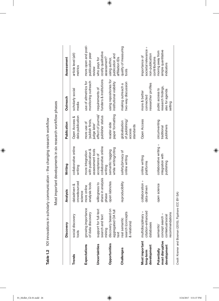Table 1.2 101 innovations in scholarly communication - the changing research workflow Table 1.2 101 innovations in scholarly communication – the changing research workflow

 $\bigoplus$ 

Most important developments in six research workflow phases Most important developments in six research workflow phases

|                                                   | <b>Discovery</b>                                                      | Analysis                                     | Writing                                                    | Publication                                           | <b>Outreach</b>                                                      | Assessment                                                                |
|---------------------------------------------------|-----------------------------------------------------------------------|----------------------------------------------|------------------------------------------------------------|-------------------------------------------------------|----------------------------------------------------------------------|---------------------------------------------------------------------------|
| <b>Trends</b>                                     | social discovery<br>tools                                             | crowdsourced<br>datadriven &<br>science      | collaborative online<br>writing                            | data publication<br>Open Access &                     | scholarly social<br>media                                            | article level (alt)<br>metrics                                            |
| Expectations                                      | mportance<br>of data discovery<br>growing i                           | analysis tools<br>more online                | with publication &<br>assessment tools<br>more integration | publish firsts,<br>more use of<br>judge later         | monitoring outreach<br>use of altmetrics for                         | more open and post-<br>publication peer<br>review                         |
| <b>Uncertainties</b>                              | or full-text<br>search and text<br>support 1<br>mining                | share in analysis<br>willingness to<br>phase | collaborative online<br>acceptance of<br>writing           | effect of journal/<br>publisher status                | funders & institutions<br>requirements of                            | costly qualitative<br>assessment?<br>who pays for                         |
| Opportunities                                     | discovery based on<br>aggregated OA full<br>text                      | open labnotes                                | while writing/citing<br>semantic tagging                   | paper formatting<br>reader-side                       | using repositories for<br>institutional visibility                   | publication and<br>affiliation IDs<br>using author,                       |
| Challenges                                        | search (concepts<br>real semantic<br>& relations)                     | reproducibility                              | safety/privacy of<br>online writing                        | of publishing<br>globalisation<br>standards<br>access | two-way discussion<br>making outreach a                              | quality of measuring<br>tools                                             |
| <b>Most important</b><br>development<br>long-term | citation-enhanced<br>multidisciplinary +<br>S<br>database             | collaboration +<br>data-driver               | online writing<br>platforms                                | Open Access                                           | researcher profiles<br>more & better<br>connected                    | societal relevance +<br>non-publication<br>importance of<br>contributions |
| most disruptive<br>development<br>Potentially     | recommendations<br>concept search +<br>contextual/social<br>semantic/ | open science                                 | collaborative writing +<br>integration with<br>publishing  | circumventing<br>publishers<br>traditional            | research findings,<br>public access to<br>also for agenda<br>setting | simple quantitative<br>moving away from<br>indicators                     |
|                                                   |                                                                       |                                              |                                                            |                                                       |                                                                      |                                                                           |

 $\bigoplus$ 

Credit: Kramer and Bosman (2015), Figshare (CC BY-SA) *Credit*: Kramer and Bosman (2015), Figshare (CC BY-SA)

 $\bigoplus$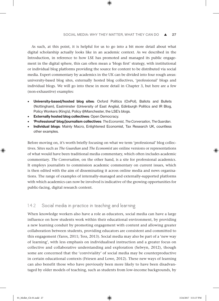#### SOCIAL MEDIA: WHY THEY MATTER, WHAT THEY CAN DO  $\triangle$  27

⊕

As such, at this point, it is helpful for us to go into a bit more detail about what digital scholarship actually looks like in an academic context. As we described in the Introduction, in reference to how LSE has promoted and managed its public engagement in the digital sphere, this can often mean a 'blogs first' strategy, with institutional or individual blog platforms providing the source for content to be distributed via social media. Expert commentary by academics in the UK can be divided into four rough areas: university-based blog sites, externally hosted blog collectives, 'professional' blogs and individual blogs. We will go into these in more detail in Chapter 3, but here are a few (non-exhaustive) examples:

- University-based/hosted blog sites: Oxford Politics (OxPol), Ballots and Bullets (Nottingham), Eastminster (University of East Anglia), Edinburgh Politics and IR Blog, Policy Wonkers (King's), Policy @Manchester, the LSE's blogs.
- Externally hosted blog collectives: Open Democracy.
- 'Professional' blog/journalism collectives: *The Economist*, *The Conversation*, *The Guardian*.
- Individual blogs: Mainly Macro, Enlightened Economist, Tax Research UK, countless other examples.

Before moving on, it's worth briefly focusing on what we term 'professional' blog collectives. Sites such as *The Guardian* and *The Economist* are online versions or representations of what would have been traditional media commentary, which often includes academic commentary. *The Conversation*, on the other hand, is a site for professional academics. It employs journalists to commission academic commentary on current issues, which is then edited with the aim of disseminating it across online media and news organisations. The range of examples of internally-managed and externally-supported platforms with which academics can now be involved is indicative of the growing opportunities for public-facing, digital research content.

# 1.4.2 Social media in practice in teaching and learning

When knowledge workers also have a role as educators, social media can have a large influence on how students work within their educational environment, by providing a new learning conduit by promoting engagement with content and allowing greater collaboration between students, providing educators are consistent and committed to this engagement (Yaros, 2011; Tess, 2013). Social media may also be part of a 'new way of learning', with less emphasis on individualised instruction and a greater focus on collective and collaborative understanding and exploration (Selwyn, 2012), though some are concerned that the 'conviviality' of social media may be counterproductive in certain educational contexts (Friesen and Lowe, 2012). These new ways of learning can also benefit those who have previously been more likely to have been disadvantaged by older models of teaching, such as students from low-income backgrounds, by

♠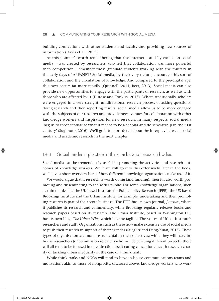$\bigoplus$ 

building connections with other students and faculty and providing new sources of information (Davis et al., 2012).

At this point it's worth remembering that the internet – and by extension social media – was created by researchers who felt that collaboration was more powerful than competition. Remember those graduate students working with the military in the early days of ARPANET? Social media, by their very nature, encourage this sort of collaboration and the circulation of knowledge. And compared to the pre-digital age, this now occurs far more rapidly (Quinnell, 2011; Beer, 2013). Social media can also provide new opportunities to engage with the participants of research, as well as with those who are affected by it (Durose and Tonkiss, 2013). Where traditionally scholars were engaged in a very straight, unidirectional research process of asking questions, doing research and then reporting results, social media allow us to be more engaged with the subjects of our research and provide new avenues for collaboration with other knowledge workers and inspiration for new research. In many respects, social media 'beg us to reconceptualize what it means to be a scholar and do scholarship in the 21st century' (Sugimoto, 2016). We'll go into more detail about the interplay between social media and academic research in the next chapter.

# 1.4.3 Social media in practice in think tanks and research bodies

Social media can be tremendously useful in promoting the activities and research outcomes of knowledge workers. While we will go into this extensively later in the book, we'll give a short overview here of how different knowledge organisations make use of it.

We would argue that if research is worth doing (and funding), then it's also worth promoting and disseminating to the wider public. For some knowledge organisations, such as think tanks like the UK-based Institute for Public Policy Research (IPPR), the US-based Brookings Institute and the Urban Institute, for example, undertaking and then promoting research is part of their 'core business'. The IPPR has its own journal, *Juncture*, where it publishes its research and commentary, while Brookings regularly releases books and research papers based on its research. The Urban Institute, based in Washington DC, has its own blog, *The Urban Wire*, which has the tagline 'The voices of Urban Institute's researchers and staff'. Organisations such as these now make extensive use of social media to push their research in support of their agendas (Stieglitz and Dang-Xuan, 2013). These types of organisation are more instrumental in their objectives; while they will have inhouse researchers (or commission research) who will be pursuing different projects, these will all tend to be focused in one direction, be it curing cancer for a health research charity or tackling urban inequality in the case of a think tank.

While think tanks and NGOs will tend to have in-house communications teams and motivations akin to those of nonprofits, discussed above, knowledge workers who work

♠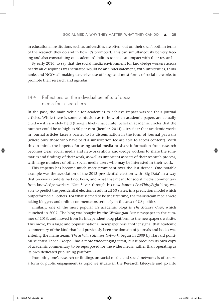in educational institutions such as universities are often 'out on their own', both in terms of the research they do and in how it's promoted. This can simultaneously be very freeing and also constraining on academics' abilities to make an impact with their research.

By early 2016, to say that the social media environment for knowledge workers across nearly all disciplines was saturated would be an understatement, with universities, think tanks and NGOs all making extensive use of blogs and most forms of social networks to promote their research and agendas.

# 1.4.4 Reflections on the individual benefits of social media for researchers

In the past, the main vehicle for academics to achieve impact was via their journal articles. While there is some confusion as to how often academic papers are actually cited – with a widely held (though likely inaccurate) belief in academic circles that the number could be as high as 90 per cent (Remler, 2014) – it's clear that academic works in journal articles faces a barrier to its dissemination in the form of journal paywalls (where only those who have paid a subscription fee are able to access content). With this in mind, the impetus for using social media to share information from research becomes clear. Social media and networks allow knowledge workers to share the summaries and findings of their work, as well as important aspects of their research process, with large numbers of other social media users who may be interested in their work.

This impetus has become much more prominent over the last decade. One notable example was the association of the 2012 presidential election with 'Big Data' in a way that previous contests had not been, and what that meant for social media commentary from knowledge workers. Nate Silver, through his now-famous *FiveThirtyEight* blog, was able to predict the presidential election result in all 50 states, in a prediction model which outperformed all others. For what seemed to be the first time, the mainstream media were taking bloggers and online commentators seriously in the area of US politics.

Similarly, one of the most popular US academic blogs is *The Monkey Cage*, which launched in 2007. The blog was bought by the *Washington Post* newspaper in the summer of 2013, and moved from its independent blog platform to the newspaper's website. This move, by a large and popular national newspaper, was another signal that academic commentary of the kind that had previously been the domain of journals and books was entering the mainstream. *The Scholars Strategy Network*, begun in 2009 by Harvard political scientist Theda Skocpol, has a more wide-ranging remit, but it produces its own copy of academic commentary to be repurposed for the wider media, rather than operating as its own dedicated publishing platform.

Promoting one's research or findings on social media and social networks is of course a form of public engagement (a topic we situate in the Research Lifecycle and go into

♠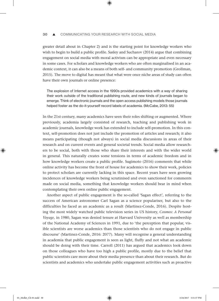⊕

greater detail about in Chapter 2) and is the starting point for knowledge workers who wish to begin to build a public profile. Sasley and Sucharov (2014) argue that combining engagement on social media with moral activism can be appropriate and even necessary in some cases. For scholars and knowledge workers who are often marginalised in an academic context, it can also be a means of both self- and community promotion (Grollman, 2015). The move to digital has meant that what were once niche areas of study can often have their own journals or online presence:

The explosion of Internet access in the 1990s provided academics with a way of sharing their work outside of the traditional publishing route, and new kinds of journals began to emerge. Think of electronic journals and the open access publishing models those journals helped foster as the do-it-yourself record labels of academia. (McCabe, 2013: 55)

In the 21st century, many academics have seen their roles shifting or augmented. Where previously, academia largely consisted of research, teaching and publishing work in academic journals, knowledge work has extended to include self-promotion. In this context, self-promotion does not just include the promotion of articles and research; it also means participating (though not always) in social media discussions in areas of their research and on current events and general societal trends. Social media allow researchers to be social, both with those who share their interests and with the wider world in general. This naturally creates some tensions in terms of academic freedom and in how knowledge workers create a public profile. Sugimoto (2016) comments that while online activity has become the front of house for academics to show their work, policies to protect scholars are currently lacking in this space. Recent years have seen growing incidences of knowledge workers being scrutinised and even sanctioned for comments made on social media, something that knowledge workers should bear in mind when contemplating their own online public engagement.

Another aspect of public engagement is the so-called 'Sagan effect', referring to the success of American astronomer Carl Sagan as a science populariser, but also to the difficulties he faced as an academic as a result (Martinez-Conde, 2016). Despite hosting the most widely watched public television series in US history, *Cosmos: A Personal Voyage*, in 1980, Sagan was denied tenure at Harvard University as well as membership of the National Academy of Sciences in 1991, due to 'the perception that popular, visible scientists are worse academics than those scientists who do not engage in public discourse' (Martinez-Conde, 2016: 2077). Many will recognise a general understanding in academia that public engagement is seen as light, fluffy and not what an academic should be doing with their time. Carroll (2011) has argued that academics look down on those colleagues who have too high a public profile, mostly due to the belief that public scientists care more about their media presence than about their research. But do scientists and academics who undertake public engagement activities such as proactive

♠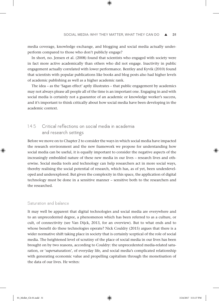media coverage, knowledge exchange, and blogging and social media actually underperform compared to those who don't publicly engage?

In short, no. Jensen et al. (2008) found that scientists who engaged with society were in fact more active academically than others who did not engage. Inactivity in public engagement actually correlated with lower performance. Bentley and Kyvik (2010) found that scientists with popular publications like books and blog posts also had higher levels of academic publishing as well as a higher academic rank.

The idea – as the 'Sagan effect' aptly illustrates – that public engagement by academics may not always please all people all of the time is an important one. Engaging in and with social media is certainly not a guarantee of an academic or knowledge worker's success, and it's important to think critically about how social media have been developing in the academic context.

# 1.4.5 Critical reflections on social media in academia and research settings

Before we move on to Chapter 2 to consider the ways in which social media have impacted the research environment and the new framework we propose for understanding how social media can be useful, it is equally important to consider the negative aspects of the increasingly embedded nature of these new media in our lives – research lives and otherwise. Social media tools and technology can help researchers act in more social ways, thereby realising the social potential of research, which has, as of yet, been underdeveloped and underexplored. But given the complexity in this space, the application of digital technology must be done in a sensitive manner – sensitive both to the researchers and the researched.

## Saturation and balance

♠

It may well be apparent that digital technologies and social media are everywhere and to an unprecedented degree, a phenomenon which has been referred to as a culture, or cult, of connectivity (see Van Dijck, 2013, for an overview). But to what ends and to whose benefit do these technologies operate? Nick Couldry (2015) argues that there is a wider normative shift taking place in society that is certainly sceptical of the role of social media. The heightened level of scrutiny of the place of social media in our lives has been brought on by two reasons, according to Couldry: the unprecedented media-related saturation, or '*super*saturation', of everyday life, and social media's complicated relationship with generating economic value and propelling capitalism through the monetisation of the data of our lives. He writes: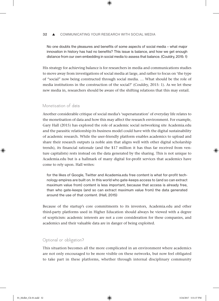⊕

No one doubts the pleasures and benefits of some aspects of social media – what major innovation in history has had no benefits? This issue is balance, and how we get enough distance from our own embedding in social media to assess that balance. (Couldry, 2015: 1)

His strategy for achieving balance is for researchers in media and communications studies to move away from investigations of social media at large, and rather to focus on 'the type of "social" now being constructed through social media. … What should be the role of media institutions in the construction of the social?' (Couldry, 2015: 1). As we let these new media in, researchers should be aware of the shifting relations that this may entail.

## Monetisation of data

Another considerable critique of social media's 'supersaturation' of everyday life relates to the monetisation of data and how this may affect the research environment. For example, Gary Hall (2015) has explored the role of academic social networking site Academia.edu and the parasitic relationship its business model could have with the digital sustainability of academic research. While the user-friendly platform enables academics to upload and share their research outputs (a noble aim that aligns well with other digital scholarship trends), its financial rationale (and the \$17 million it has thus far received from venture capitalists) rests instead on the data generated by the sharing. This is not unique to Academia.edu but is a hallmark of many digital for-profit services that academics have come to rely upon. Hall writes:

for the likes of Google, Twitter and Academia.edu free content is what for-profit technology empires are built on. In this world who gate-keeps access to (and so can extract maximum value from) content is less important, because that access is already free, than who gate-keeps (and so can extract maximum value from) the data generated around the use of that content. (Hall, 2015)

Because of the startup's core commitments to its investors, Academia.edu and other third-party platforms used in Higher Education should always be viewed with a degree of scepticism: academic interests are not a core consideration for these companies, and academics and their valuable data are in danger of being exploited.

### Optional or obligation?

This situation becomes all the more complicated in an environment where academics are not only encouraged to be more visible on these networks, but now feel obligated to take part in these platforms, whether through internal disciplinary community

♠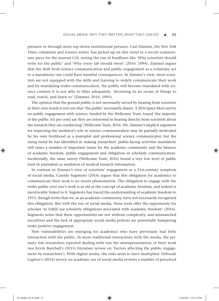#### SOCIAL MEDIA: WHY THEY MATTER, WHAT THEY CAN DO  $\triangle$  33

 $\textcircled{\scriptsize{*}}$ 

pressure or through more top-down institutional pressure. Carl Zimmer, the *New York Times* columnist and science writer, has picked up on this trend in a recent commentary piece for the journal *Cell*, noting the rise of headlines like 'Why scientists should write for the public' and 'Why every lab should tweet' (2016: 1094). Zimmer argues that the shift from science communication and public engagement as a voluntary act to a mandatory one could have harmful consequences. In Zimmer's view, most scientists are not equipped with the skills and training to widely communicate their work and by mandating wider communication, the public will become inundated with science content it is not able to filter adequately, 'drowning in an ocean of things to read, watch, and listen to' (Zimmer, 2016: 1095).

The opinion that the general public is not necessarily served by hearing from scientists in their own words is not one that 'the public' necessarily shares. A 2016 Ipsos Mori survey on public engagement with science, funded by the Wellcome Trust, found 'the majority of the public (63 per cent) say they are interested in hearing directly from scientists about the research they are conducting' (Wellcome Trust, 2016: 50). Zimmer's implicit argument for respecting the mediator's role in science communication may be partially motivated by his own livelihood as a journalist and professional science communicator, but the rising trend he has identified in making researchers' public-facing activities mandatory still raises a number of important issues for the academic community and the balance of academic freedom, public engagement and obligation in scholarly communication. Incidentally, the same survey (Wellcome Trust, 2016) found a very low level of public trust in journalists as mediators of medical research information.

In contrast to Zimmer's view of scientists' engagement as a 21st-century symptom of social media, Cassidy Sugimoto (2016) argues that this obligation for academics to communicate their work is no recent phenomenon. The obligation to engage with the wider public over one's work is as old as the concept of academic freedom, and indeed is inextricably linked to it. Sugimoto has traced the understanding of academic freedom to 1915, though notes that we, as an academic community, have not necessarily recognised this obligation. But with the rise of social media, these tools offer the opportunity for scholars 'to fulfill our scholarly obligations associated with academic freedom' (2016). Sugimoto notes that these opportunities are not without complexity, and mismatched incentives and the lack of appropriate social media policies are potentially hampering wider positive engagement.

New vulnerabilities are emerging for academics who have previously had little interaction with the public. In more traditional interactions with the media, the primary risk researchers reported dealing with was the misrepresentation of their work (see Kevin Burchall's (2015) literature review on 'Factors affecting the public engagement by researchers'). With digital media, the risks seem to have multiplied. Deborah Lupton's (2014) survey on academic use of social media reviews a number of perceived

♠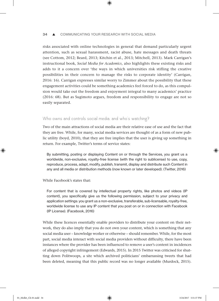⊕

risks associated with online technologies in general that demand particularly urgent attention, such as sexual harassment, racist abuse, hate messages and death threats (see Cottom, 2012; Beard, 2013; Kitchin et al., 2013; Mitchell, 2013). Mark Carrigan's instructional book, *Social Media for Academics*, also highlights these existing risks and adds to it a concern over 'the ways in which universities risk stifling the creative possibilities in their concern to manage the risks to corporate identity' (Carrigan, 2016: 16). Carrigan expresses similar worry to Zimmer about the possibility that these engagement activities could be something academics feel forced to do, as this compulsion would take out the freedom and enjoyment integral to many academics' practice (2016: 68). But as Sugimoto argues, freedom and responsibility to engage are not so easily separated.

## Who owns and controls social media, and who's watching?

Two of the main attractions of social media are their relative ease of use and the fact that they are free. While, for many, social media services are thought of as a form of new public utility (boyd, 2010), that they are free implies that the user is giving up something in return. For example, Twitter's terms of service states:

By submitting, posting or displaying Content on or through the Services, you grant us a worldwide, non-exclusive, royalty-free license (with the right to sublicense) to use, copy, reproduce, process, adapt, modify, publish, transmit, display and distribute such Content in any and all media or distribution methods (now known or later developed). (Twitter, 2016)

While Facebook's states that:

For content that is covered by intellectual property rights, like photos and videos (IP content), you specifically give us the following permission, subject to your privacy and application settings: you grant us a non-exclusive, transferable, sub-licensable, royalty-free, worldwide license to use any IP content that you post on or in connection with Facebook (IP License). (Facebook, 2016)

While these licences essentially enable providers to distribute your content on their network, they do also imply that you do not own your content, which is something that any social media user – knowledge worker or otherwise – should remember. While, for the most part, social media interact with social media providers without difficulty, there have been instances where the provider has been influenced to remove a user's content in incidences of alleged copyright infringement (Edwards, 2015). In 2015 Twitter was criticised for shutting down Politwoops, a site which archived politicians' embarrassing tweets that had been deleted, meaning that this public record was no longer available (Murdock, 2015).

♠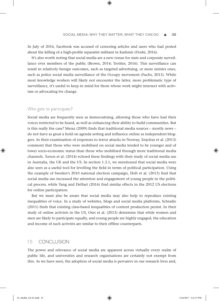In July of 2016, Facebook was accused of censoring articles and users who had posted about the killing of a high-profile separatist militant in Kashmir (Doshi, 2016).

It's also worth noting that social media are a new venue for state and corporate surveillance over members of the public (Brown, 2014; Trottier, 2016). This surveillance can result in relatively benign outcomes, such as targeted advertising, or more sinister ones, such as police social media surveillance of the Occupy movement (Fuchs, 2013). While most knowledge workers will likely not encounter the latter, more problematic type of surveillance, it's useful to keep in mind for those whose work might intersect with activism or advocating for change.

## Who gets to participate?

♠

Social media are frequently seen as democratising, allowing those who have had their voices restricted to be heard, as well as enhancing their ability to build communities. But is this really the case? Meraz (2009) finds that traditional media sources – mostly news – do not have as great a hold on agenda setting and influence online as independent bloggers. In their examination of responses to terror attacks in Norway, Enjolras et al. (2013) comment that those who were mobilised on social media tended to be younger and of lower socio-economic status than those who mobilised through more traditional media channels. Xenos et al. (2014) echoed these findings with their study of social media use in Australia, the UK and the US. In section 1.3.1, we mentioned that social media were also seen as a useful tool for levelling the field in terms of political participation. Using the example of Sweden's 2010 national election campaign, Holt et al. (2013) find that social media use increased the attention and engagement of young people in the political process, while Yang and DeHart (2016) find similar effects in the 2012 US elections for online participation.

But we must also be aware that social media may also help to reproduce existing inequalities of voice. In a study of websites, blogs and social media platforms, Schradie (2011) finds that existing class-based inequalities of content production persist. In their study of online activists in the US, Oser et al. (2013) determine that while women and men are likely to participate equally, and young people are highly engaged, the education and income of such activists are similar to their offline counterparts.

## 1.5 CONCLUSION

The power and relevance of social media are apparent across virtually every realm of public life, and universities and research organisations are certainly not exempt from this. As we have seen, the adoption of social media is pervasive in our research lives and,